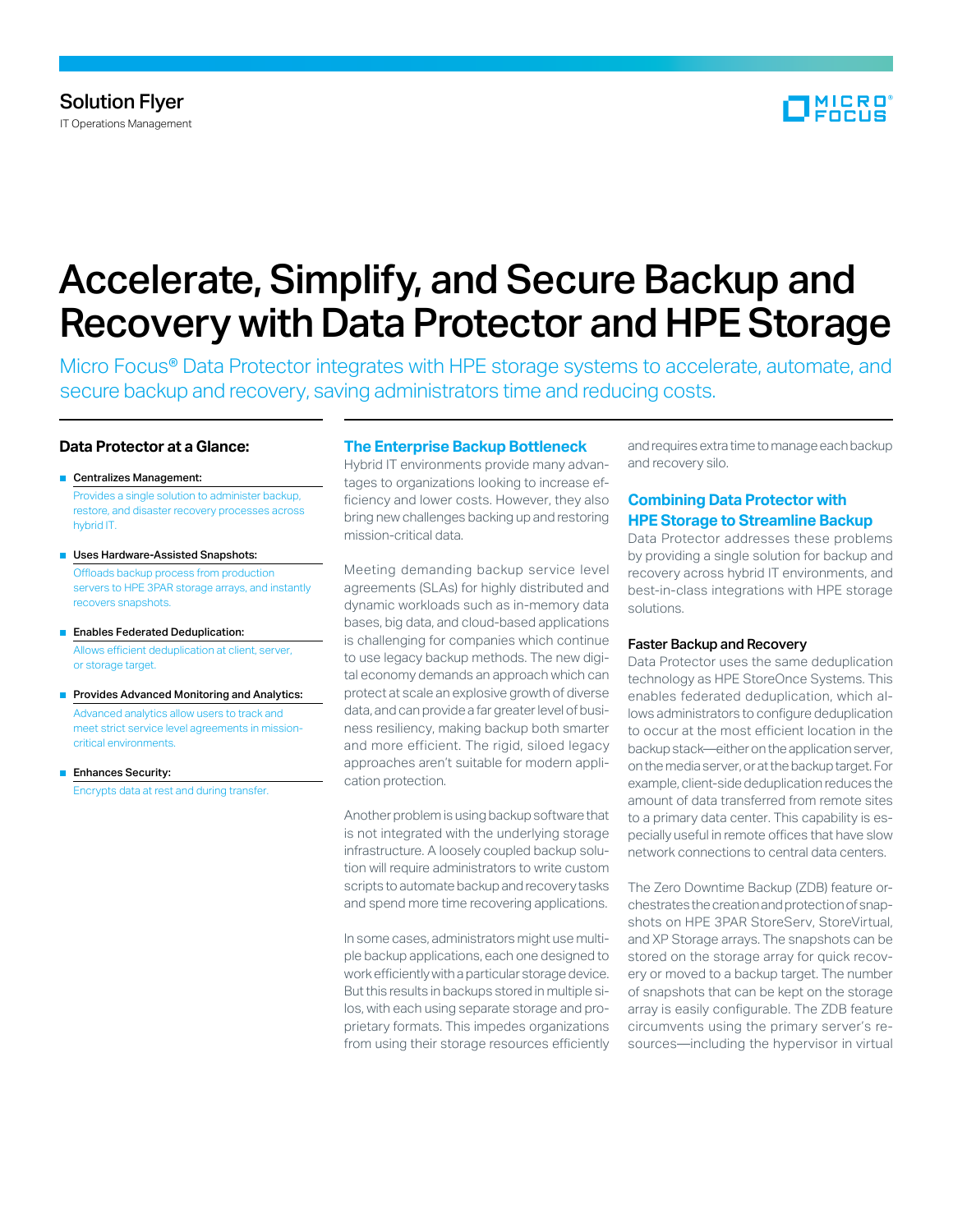

# Accelerate, Simplify, and Secure Backup and Recovery with Data Protector and HPE Storage

Micro Focus® Data Protector integrates with HPE storage systems to accelerate, automate, and secure backup and recovery, saving administrators time and reducing costs.

## **Data Protector at a Glance:**

- Centralizes Management: Provides a single solution to administer backup, restore, and disaster recovery processes across hybrid IT.
- Uses Hardware-Assisted Snapshots: Offloads backup process from production servers to HPE 3PAR storage arrays, and instantly recovers snapshots.
- Enables Federated Deduplication: Allows efficient deduplication at client, server, or storage target.
- Provides Advanced Monitoring and Analytics: Advanced analytics allow users to track and meet strict service level agreements in missioncritical environments.
- Enhances Security: Encrypts data at rest and during transfer.

## **The Enterprise Backup Bottleneck**

Hybrid IT environments provide many advantages to organizations looking to increase efficiency and lower costs. However, they also bring new challenges backing up and restoring mission-critical data.

Meeting demanding backup service level agreements (SLAs) for highly distributed and dynamic workloads such as in-memory data bases, big data, and cloud-based applications is challenging for companies which continue to use legacy backup methods. The new digital economy demands an approach which can protect at scale an explosive growth of diverse data, and can provide a far greaterlevel of business resiliency, making backup both smarter and more efficient. The rigid, siloed legacy approaches aren't suitable for modern application protection.

Another problem is using backup software that is not integrated with the underlying storage infrastructure. A loosely coupled backup solution will require administrators to write custom scripts to automate backup and recovery tasks and spend more time recovering applications.

In some cases, administrators might use multiple backup applications, each one designed to work efficiently with a particular storage device. But this results in backups stored in multiple silos, with each using separate storage and proprietary formats. This impedes organizations from using their storage resources efficiently

and requires extra time to manage each backup and recovery silo.

## **Combining Data Protector with HPE Storage to Streamline Backup**

Data Protector addresses these problems by providing a single solution for backup and recovery across hybrid IT environments, and best-in-class integrations with HPE storage solutions.

#### Faster Backup and Recovery

Data Protector uses the same deduplication technology as HPE StoreOnce Systems. This enables federated deduplication, which allows administrators to configure deduplication to occur at the most efficient location in the backup stack—either on the application server, on the media server, or at the backup target. For example, client-side deduplication reduces the amount of data transferred from remote sites to a primary data center. This capability is especially useful in remote offices that have slow network connections to central data centers.

The Zero Downtime Backup (ZDB) feature orchestratesthecreationandprotectionofsnapshots on HPE 3PAR StoreServ, StoreVirtual, and XP Storage arrays. The snapshots can be stored on the storage array for quick recovery or moved to a backup target. The number of snapshots that can be kept on the storage array is easily configurable. The ZDB feature circumvents using the primary server's resources—including the hypervisor in virtual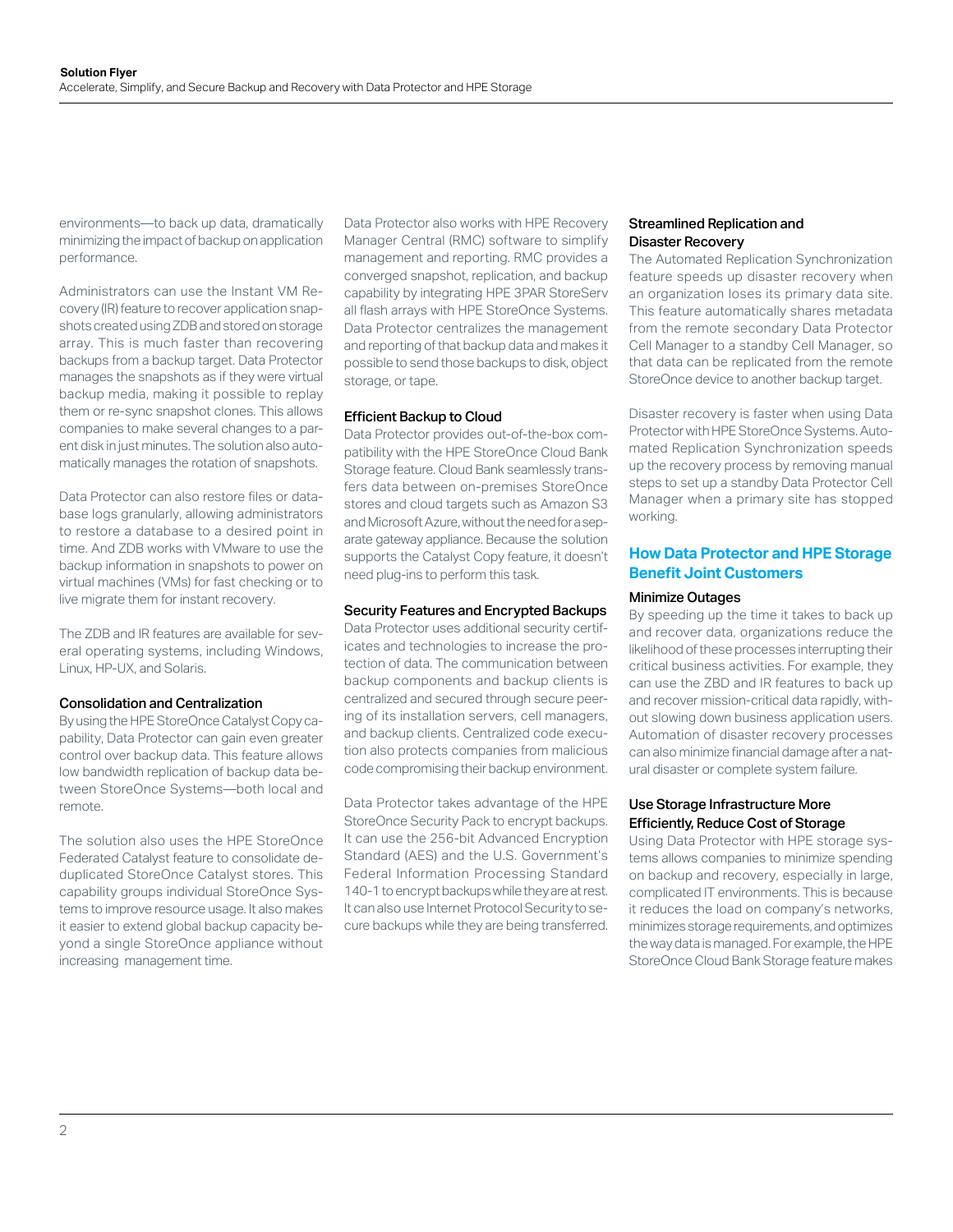environments—to back up data, dramatically minimizing the impact of backup on application performance.

Administrators can use the Instant VM Recovery (IR) feature to recover application snapshots created using ZDB and stored on storage array. This is much faster than recovering backups from a backup target. Data Protector manages the snapshots as if they were virtual backup media, making it possible to replay them or re-sync snapshot clones. This allows companies to make several changes to a parent disk in just minutes. The solution also automatically manages the rotation of snapshots.

Data Protector can also restore files or database logs granularly, allowing administrators to restore a database to a desired point in time. And ZDB works with VMware to use the backup information in snapshots to power on virtual machines (VMs) for fast checking or to live migrate them for instant recovery.

The ZDB and IR features are available for several operating systems, including Windows, Linux, HP-UX, and Solaris.

### Consolidation and Centralization

By using the HPE StoreOnce Catalyst Copy capability, Data Protector can gain even greater control over backup data. This feature allows low bandwidth replication of backup data between StoreOnce Systems—both local and remote.

The solution also uses the HPE StoreOnce Federated Catalyst feature to consolidate deduplicated StoreOnce Catalyst stores. This capability groups individual StoreOnce Systems to improve resource usage. It also makes it easier to extend global backup capacity beyond a single StoreOnce appliance without increasing management time.

Data Protector also works with HPE Recovery Manager Central (RMC) software to simplify management and reporting. RMC provides a converged snapshot, replication, and backup capability by integrating HPE 3PAR StoreServ all flash arrays with HPE StoreOnce Systems. Data Protector centralizes the management and reporting of that backup data and makes it possible to send those backups to disk, object storage, or tape.

#### Efficient Backup to Cloud

Data Protector provides out-of-the-box compatibility with the HPE StoreOnce Cloud Bank Storage feature. Cloud Bank seamlessly transfers data between on-premises StoreOnce stores and cloud targets such as Amazon S3 and Microsoft Azure, without the need for a separate gateway appliance. Because the solution supports the Catalyst Copy feature, it doesn't need plug-ins to perform this task.

#### Security Features and Encrypted Backups

Data Protector uses additional security certificates and technologies to increase the protection of data. The communication between backup components and backup clients is centralized and secured through secure peering of its installation servers, cell managers, and backup clients. Centralized code execution also protects companies from malicious code compromising their backup environment.

Data Protector takes advantage of the HPE StoreOnce Security Pack to encrypt backups. It can use the 256-bit Advanced Encryption Standard (AES) and the U.S. Government's Federal Information Processing Standard 140-1 to encrypt backups while they are at rest. It can also use Internet Protocol Security to secure backups while they are being transferred.

## Streamlined Replication and Disaster Recovery

The Automated Replication Synchronization feature speeds up disaster recovery when an organization loses its primary data site. This feature automatically shares metadata from the remote secondary Data Protector Cell Manager to a standby Cell Manager, so that data can be replicated from the remote StoreOnce device to another backup target.

Disaster recovery is faster when using Data Protector with HPE StoreOnce Systems. Automated Replication Synchronization speeds up the recovery process by removing manual steps to set up a standby Data Protector Cell Manager when a primary site has stopped working.

## **How Data Protector and HPE Storage Benefit Joint Customers**

#### Minimize Outages

By speeding up the time it takes to back up and recover data, organizations reduce the likelihood of these processes interrupting their critical business activities. For example, they can use the ZBD and IR features to back up and recover mission-critical data rapidly, without slowing down business application users. Automation of disaster recovery processes can also minimize financial damage after a natural disaster or complete system failure.

## Use Storage Infrastructure More Efficiently, Reduce Cost of Storage

Using Data Protector with HPE storage systems allows companies to minimize spending on backup and recovery, especially in large, complicated IT environments. This is because it reduces the load on company's networks, minimizes storage requirements, and optimizes the way data is managed. For example, the HPE StoreOnce Cloud Bank Storage feature makes